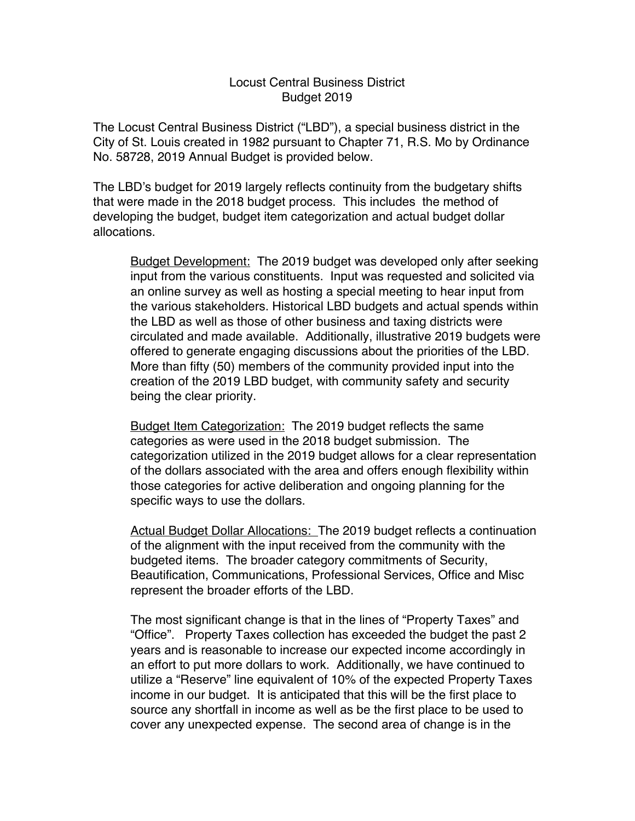## Locust Central Business District Budget 2019

The Locust Central Business District ("LBD"), a special business district in the City of St. Louis created in 1982 pursuant to Chapter 71, R.S. Mo by Ordinance No. 58728, 2019 Annual Budget is provided below.

The LBD's budget for 2019 largely reflects continuity from the budgetary shifts that were made in the 2018 budget process. This includes the method of developing the budget, budget item categorization and actual budget dollar allocations.

Budget Development: The 2019 budget was developed only after seeking input from the various constituents. Input was requested and solicited via an online survey as well as hosting a special meeting to hear input from the various stakeholders. Historical LBD budgets and actual spends within the LBD as well as those of other business and taxing districts were circulated and made available. Additionally, illustrative 2019 budgets were offered to generate engaging discussions about the priorities of the LBD. More than fifty (50) members of the community provided input into the creation of the 2019 LBD budget, with community safety and security being the clear priority.

Budget Item Categorization: The 2019 budget reflects the same categories as were used in the 2018 budget submission. The categorization utilized in the 2019 budget allows for a clear representation of the dollars associated with the area and offers enough flexibility within those categories for active deliberation and ongoing planning for the specific ways to use the dollars.

Actual Budget Dollar Allocations: The 2019 budget reflects a continuation of the alignment with the input received from the community with the budgeted items. The broader category commitments of Security, Beautification, Communications, Professional Services, Office and Misc represent the broader efforts of the LBD.

The most significant change is that in the lines of "Property Taxes" and "Office". Property Taxes collection has exceeded the budget the past 2 years and is reasonable to increase our expected income accordingly in an effort to put more dollars to work. Additionally, we have continued to utilize a "Reserve" line equivalent of 10% of the expected Property Taxes income in our budget. It is anticipated that this will be the first place to source any shortfall in income as well as be the first place to be used to cover any unexpected expense. The second area of change is in the